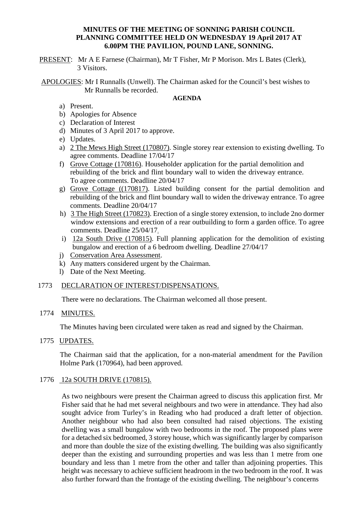### **MINUTES OF THE MEETING OF SONNING PARISH COUNCIL PLANNING COMMITTEE HELD ON WEDNESDAY 19 April 2017 AT 6.00PM THE PAVILION, POUND LANE, SONNING.**

PRESENT: Mr A E Farnese (Chairman), Mr T Fisher, Mr P Morison. Mrs L Bates (Clerk), 3 Visitors.

APOLOGIES: Mr I Runnalls (Unwell). The Chairman asked for the Council's best wishes to Mr Runnalls be recorded.

#### **AGENDA**

- a) Present.
- b) Apologies for Absence
- c) Declaration of Interest
- d) Minutes of 3 April 2017 to approve.
- e) Updates.
- a) 2 The Mews High Street (170807). Single storey rear extension to existing dwelling. To agree comments. Deadline 17/04/17
- f) Grove Cottage (170816). Householder application for the partial demolition and rebuilding of the brick and flint boundary wall to widen the driveway entrance. To agree comments. Deadline 20/04/17
- g) Grove Cottage ((170817). Listed building consent for the partial demolition and rebuilding of the brick and flint boundary wall to widen the driveway entrance. To agree comments. Deadline 20/04/17
- h) 3 The High Street (170823). Erection of a single storey extension, to include 2no dormer window extensions and erection of a rear outbuilding to form a garden office. To agree comments. Deadline 25/04/17.
- i) 12a South Drive (170815). Full planning application for the demolition of existing bungalow and erection of a 6 bedroom dwelling. Deadline 27/04/17
- j) Conservation Area Assessment.
- k) Any matters considered urgent by the Chairman.
- l) Date of the Next Meeting.

### 1773 DECLARATION OF INTEREST/DISPENSATIONS.

There were no declarations. The Chairman welcomed all those present.

### 1774 MINUTES.

The Minutes having been circulated were taken as read and signed by the Chairman.

1775 UPDATES.

The Chairman said that the application, for a non-material amendment for the Pavilion Holme Park (170964), had been approved.

### 1776 12a SOUTH DRIVE (170815).

As two neighbours were present the Chairman agreed to discuss this application first. Mr Fisher said that he had met several neighbours and two were in attendance. They had also sought advice from Turley's in Reading who had produced a draft letter of objection. Another neighbour who had also been consulted had raised objections. The existing dwelling was a small bungalow with two bedrooms in the roof. The proposed plans were for a detached six bedroomed, 3 storey house, which was significantly larger by comparison and more than double the size of the existing dwelling. The building was also significantly deeper than the existing and surrounding properties and was less than 1 metre from one boundary and less than 1 metre from the other and taller than adjoining properties. This height was necessary to achieve sufficient headroom in the two bedroom in the roof. It was also further forward than the frontage of the existing dwelling. The neighbour's concerns